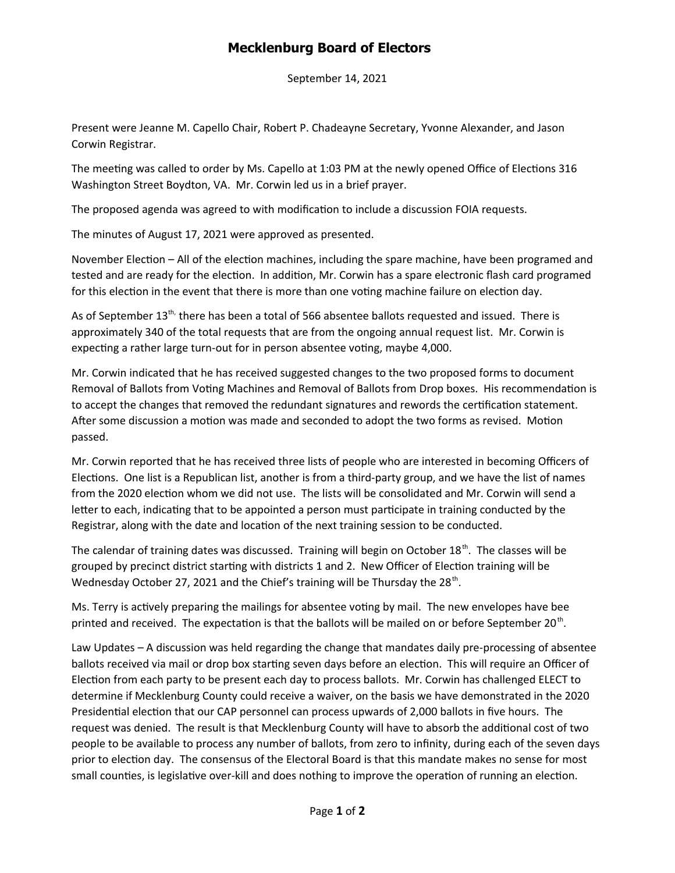## **Mecklenburg Board of Electors**

September 14, 2021

Present were Jeanne M. Capello Chair, Robert P. Chadeayne Secretary, Yvonne Alexander, and Jason Corwin Registrar.

The meeting was called to order by Ms. Capello at 1:03 PM at the newly opened Office of Elections 316 Washington Street Boydton, VA. Mr. Corwin led us in a brief prayer.

The proposed agenda was agreed to with modification to include a discussion FOIA requests.

The minutes of August 17, 2021 were approved as presented.

November Election – All of the election machines, including the spare machine, have been programed and tested and are ready for the election. In addition, Mr. Corwin has a spare electronic flash card programed for this election in the event that there is more than one voting machine failure on election day.

As of September  $13^{th}$ , there has been a total of 566 absentee ballots requested and issued. There is approximately 340 of the total requests that are from the ongoing annual request list. Mr. Corwin is expecting a rather large turn-out for in person absentee voting, maybe 4,000.

Mr. Corwin indicated that he has received suggested changes to the two proposed forms to document Removal of Ballots from Voting Machines and Removal of Ballots from Drop boxes. His recommendation is to accept the changes that removed the redundant signatures and rewords the certification statement. After some discussion a motion was made and seconded to adopt the two forms as revised. Motion passed.

Mr. Corwin reported that he has received three lists of people who are interested in becoming Officers of Elections. One list is a Republican list, another is from a third-party group, and we have the list of names from the 2020 election whom we did not use. The lists will be consolidated and Mr. Corwin will send a letter to each, indicating that to be appointed a person must participate in training conducted by the Registrar, along with the date and location of the next training session to be conducted.

The calendar of training dates was discussed. Training will begin on October  $18<sup>th</sup>$ . The classes will be grouped by precinct district starting with districts 1 and 2. New Officer of Election training will be Wednesday October 27, 2021 and the Chief's training will be Thursday the 28<sup>th</sup>.

Ms. Terry is actively preparing the mailings for absentee voting by mail. The new envelopes have bee printed and received. The expectation is that the ballots will be mailed on or before September 20<sup>th</sup>.

Law Updates – A discussion was held regarding the change that mandates daily pre-processing of absentee ballots received via mail or drop box starting seven days before an election. This will require an Officer of Election from each party to be present each day to process ballots. Mr. Corwin has challenged ELECT to determine if Mecklenburg County could receive a waiver, on the basis we have demonstrated in the 2020 Presidential election that our CAP personnel can process upwards of 2,000 ballots in five hours. The request was denied. The result is that Mecklenburg County will have to absorb the additional cost of two people to be available to process any number of ballots, from zero to infinity, during each of the seven days prior to election day. The consensus of the Electoral Board is that this mandate makes no sense for most small counties, is legislative over-kill and does nothing to improve the operation of running an election.